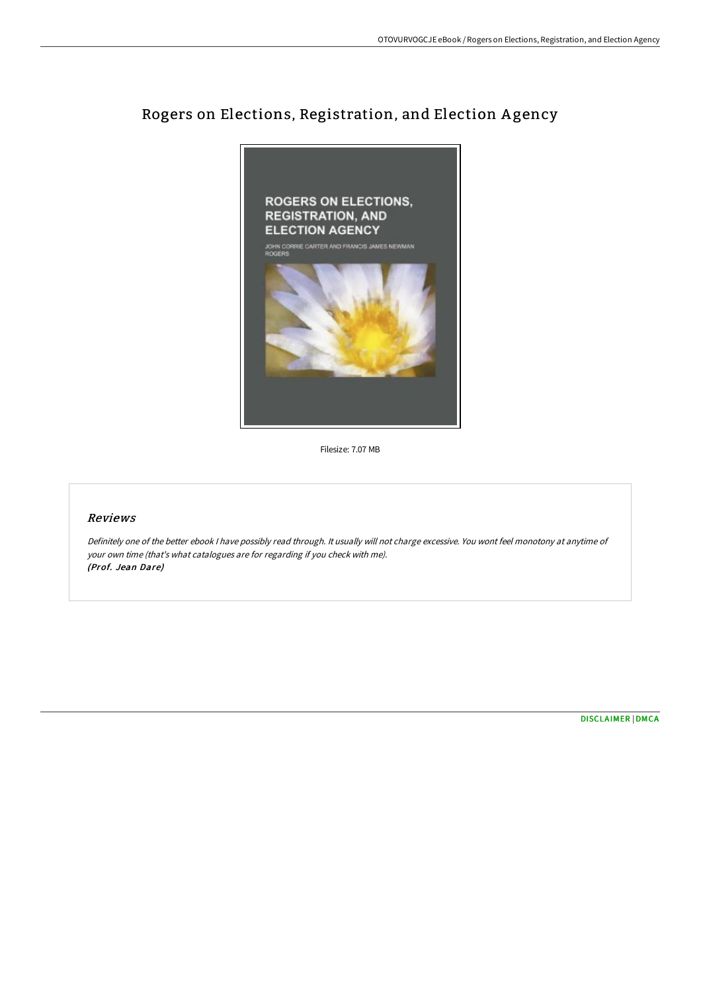## Rogers on Elections, Registration, and Election A gency



Filesize: 7.07 MB

## Reviews

Definitely one of the better ebook <sup>I</sup> have possibly read through. It usually will not charge excessive. You wont feel monotony at anytime of your own time (that's what catalogues are for regarding if you check with me). (Prof. Jean Dare)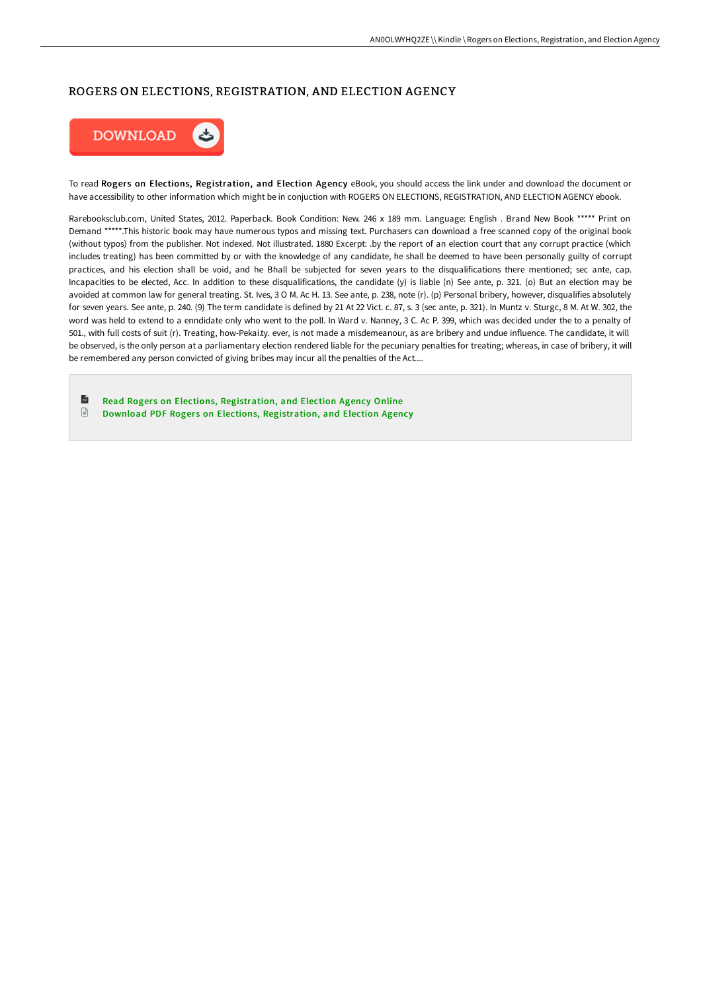## ROGERS ON ELECTIONS, REGISTRATION, AND ELECTION AGENCY



To read Rogers on Elections, Registration, and Election Agency eBook, you should access the link under and download the document or have accessibility to other information which might be in conjuction with ROGERS ON ELECTIONS, REGISTRATION, AND ELECTION AGENCY ebook.

Rarebooksclub.com, United States, 2012. Paperback. Book Condition: New. 246 x 189 mm. Language: English . Brand New Book \*\*\*\*\* Print on Demand \*\*\*\*\*.This historic book may have numerous typos and missing text. Purchasers can download a free scanned copy of the original book (without typos) from the publisher. Not indexed. Not illustrated. 1880 Excerpt: .by the report of an election court that any corrupt practice (which includes treating) has been committed by or with the knowledge of any candidate, he shall be deemed to have been personally guilty of corrupt practices, and his election shall be void, and he Bhall be subjected for seven years to the disqualifications there mentioned; sec ante, cap. Incapacities to be elected, Acc. In addition to these disqualifications, the candidate (y) is liable (n) See ante, p. 321. (o) But an election may be avoided at common law for general treating. St. Ives, 3 O M. Ac H. 13. See ante, p. 238, note (r). (p) Personal bribery, however, disqualifies absolutely for seven years. See ante, p. 240. (9) The term candidate is defined by 21 At 22 Vict. c. 87, s. 3 (sec ante, p. 321). In Muntz v. Sturgc, 8 M. At W. 302, the word was held to extend to a enndidate only who went to the poll. In Ward v. Nanney, 3 C. Ac P. 399, which was decided under the to a penalty of 501., with full costs of suit (r). Treating, how-Pekai.ty. ever, is not made a misdemeanour, as are bribery and undue influence. The candidate, it will be observed, is the only person at a parliamentary election rendered liable for the pecuniary penalties for treating; whereas, in case of bribery, it will be remembered any person convicted of giving bribes may incur all the penalties of the Act....

 $\mathbf{r}$ Read Rogers on Elections, [Registration,](http://albedo.media/rogers-on-elections-registration-and-election-ag.html) and Election Agency Online  $\Box$ Download PDF Rogers on Elections, [Registration,](http://albedo.media/rogers-on-elections-registration-and-election-ag.html) and Election Agency